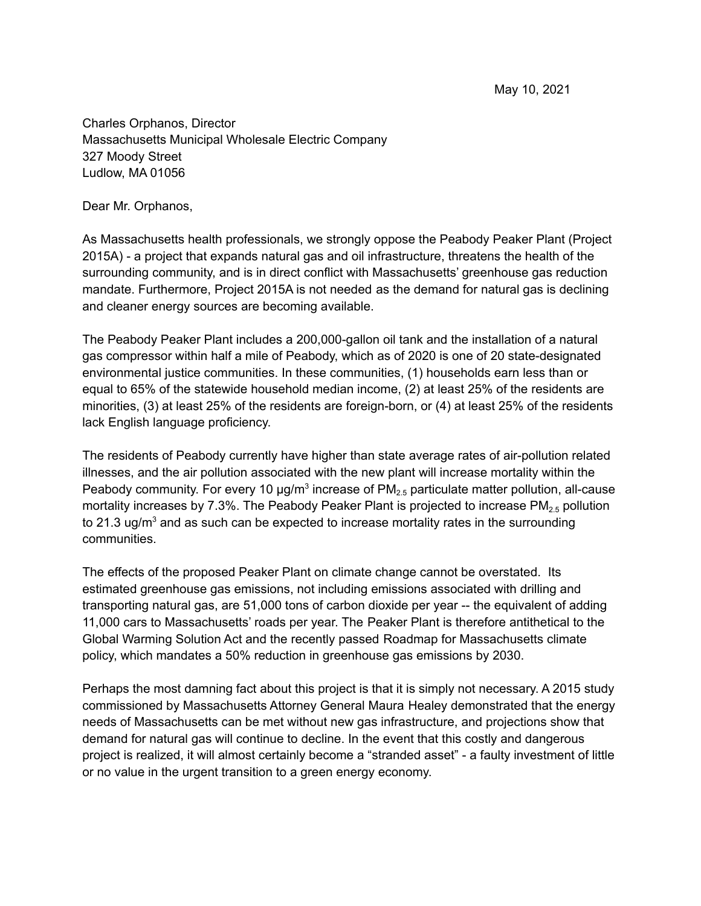May 10, 2021

Charles Orphanos, Director Massachusetts Municipal Wholesale Electric Company 327 Moody Street Ludlow, MA 01056

Dear Mr. Orphanos,

As Massachusetts health professionals, we strongly oppose the Peabody Peaker Plant (Project 2015A) - a project that expands natural gas and oil infrastructure, threatens the health of the surrounding community, and is in direct conflict with Massachusetts' greenhouse gas reduction mandate. Furthermore, Project 2015A is not needed as the demand for natural gas is declining and cleaner energy sources are becoming available.

The Peabody Peaker Plant includes a 200,000-gallon oil tank and the installation of a natural gas compressor within half a mile of Peabody, which as of 2020 is one of 20 state-designated environmental justice communities. In these communities, (1) households earn less than or equal to 65% of the statewide household median income, (2) at least 25% of the residents are minorities, (3) at least 25% of the residents are foreign-born, or (4) at least 25% of the residents lack English language proficiency.

The residents of Peabody currently have higher than state average rates of air-pollution related illnesses, and the air pollution associated with the new plant will increase mortality within the Peabody community. For every 10  $\mu$ g/m<sup>3</sup> increase of PM<sub>2.5</sub> particulate matter pollution, all-cause mortality increases by 7.3%. The Peabody Peaker Plant is projected to increase  $PM_{2.5}$  pollution to 21.3 ug/ $m<sup>3</sup>$  and as such can be expected to increase mortality rates in the surrounding communities.

The effects of the proposed Peaker Plant on climate change cannot be overstated. Its estimated greenhouse gas emissions, not including emissions associated with drilling and transporting natural gas, are 51,000 tons of carbon dioxide per year -- the equivalent of adding 11,000 cars to Massachusetts' roads per year. The Peaker Plant is therefore antithetical to the Global Warming Solution Act and the recently passed Roadmap for Massachusetts climate policy, which mandates a 50% reduction in greenhouse gas emissions by 2030.

Perhaps the most damning fact about this project is that it is simply not necessary. A 2015 study commissioned by Massachusetts Attorney General Maura Healey demonstrated that the energy needs of Massachusetts can be met without new gas infrastructure, and projections show that demand for natural gas will continue to decline. In the event that this costly and dangerous project is realized, it will almost certainly become a "stranded asset" - a faulty investment of little or no value in the urgent transition to a green energy economy.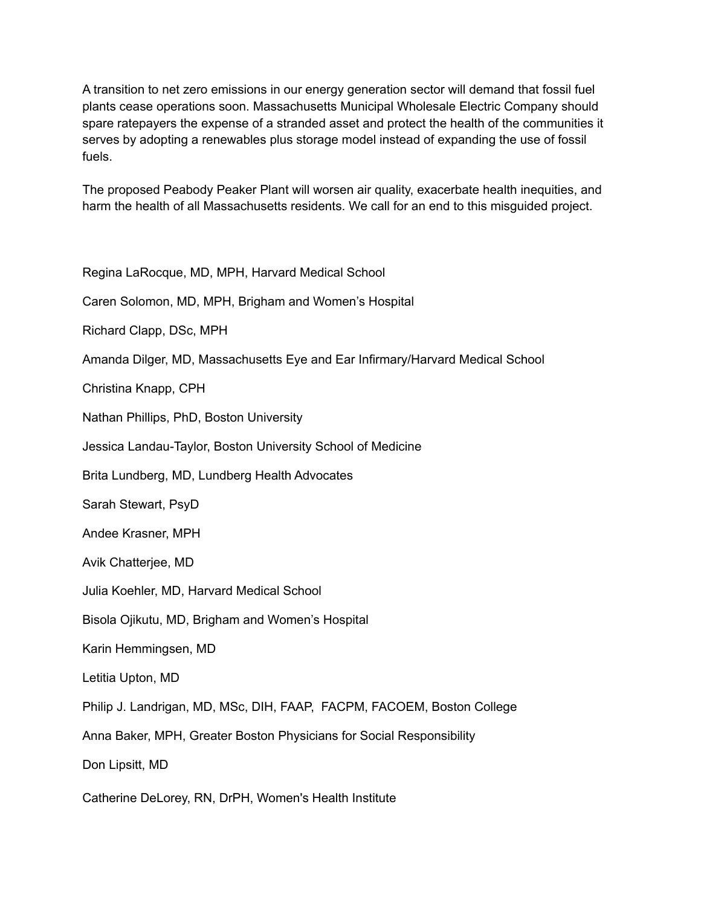A transition to net zero emissions in our energy generation sector will demand that fossil fuel plants cease operations soon. Massachusetts Municipal Wholesale Electric Company should spare ratepayers the expense of a stranded asset and protect the health of the communities it serves by adopting a renewables plus storage model instead of expanding the use of fossil fuels.

The proposed Peabody Peaker Plant will worsen air quality, exacerbate health inequities, and harm the health of all Massachusetts residents. We call for an end to this misguided project.

Regina LaRocque, MD, MPH, Harvard Medical School

Caren Solomon, MD, MPH, Brigham and Women's Hospital

Richard Clapp, DSc, MPH

Amanda Dilger, MD, Massachusetts Eye and Ear Infirmary/Harvard Medical School

Christina Knapp, CPH

Nathan Phillips, PhD, Boston University

Jessica Landau-Taylor, Boston University School of Medicine

Brita Lundberg, MD, Lundberg Health Advocates

Sarah Stewart, PsyD

Andee Krasner, MPH

Avik Chatterjee, MD

Julia Koehler, MD, Harvard Medical School

Bisola Ojikutu, MD, Brigham and Women's Hospital

Karin Hemmingsen, MD

Letitia Upton, MD

Philip J. Landrigan, MD, MSc, DIH, FAAP, FACPM, FACOEM, Boston College

Anna Baker, MPH, Greater Boston Physicians for Social Responsibility

Don Lipsitt, MD

Catherine DeLorey, RN, DrPH, Women's Health Institute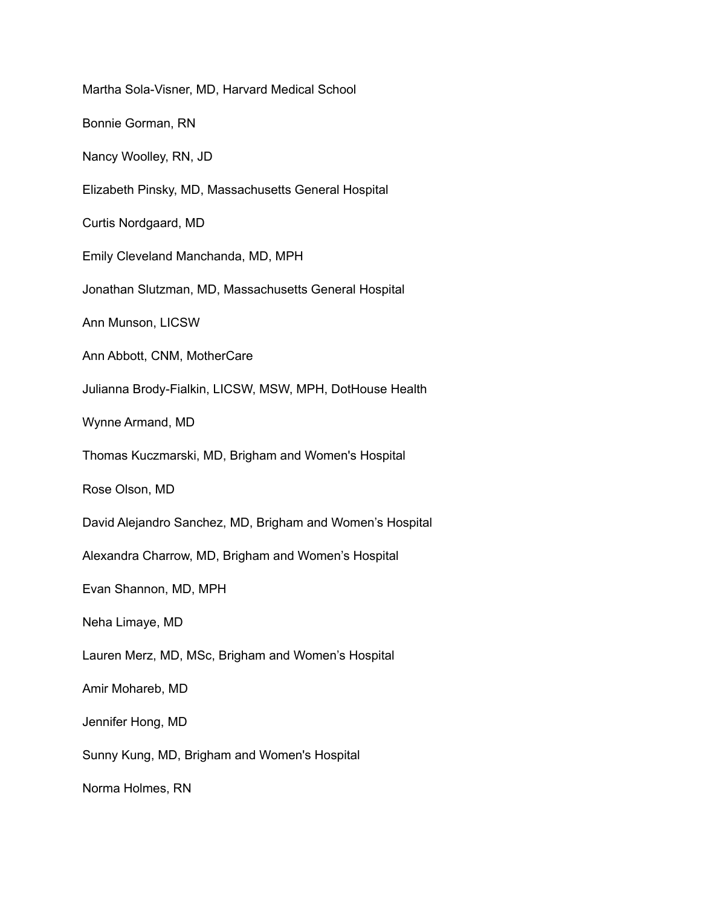Martha Sola-Visner, MD, Harvard Medical School Bonnie Gorman, RN Nancy Woolley, RN, JD Elizabeth Pinsky, MD, Massachusetts General Hospital Curtis Nordgaard, MD Emily Cleveland Manchanda, MD, MPH Jonathan Slutzman, MD, Massachusetts General Hospital Ann Munson, LICSW Ann Abbott, CNM, MotherCare Julianna Brody-Fialkin, LICSW, MSW, MPH, DotHouse Health Wynne Armand, MD Thomas Kuczmarski, MD, Brigham and Women's Hospital Rose Olson, MD David Alejandro Sanchez, MD, Brigham and Women's Hospital Alexandra Charrow, MD, Brigham and Women's Hospital Evan Shannon, MD, MPH Neha Limaye, MD Lauren Merz, MD, MSc, Brigham and Women's Hospital Amir Mohareb, MD Jennifer Hong, MD Sunny Kung, MD, Brigham and Women's Hospital Norma Holmes, RN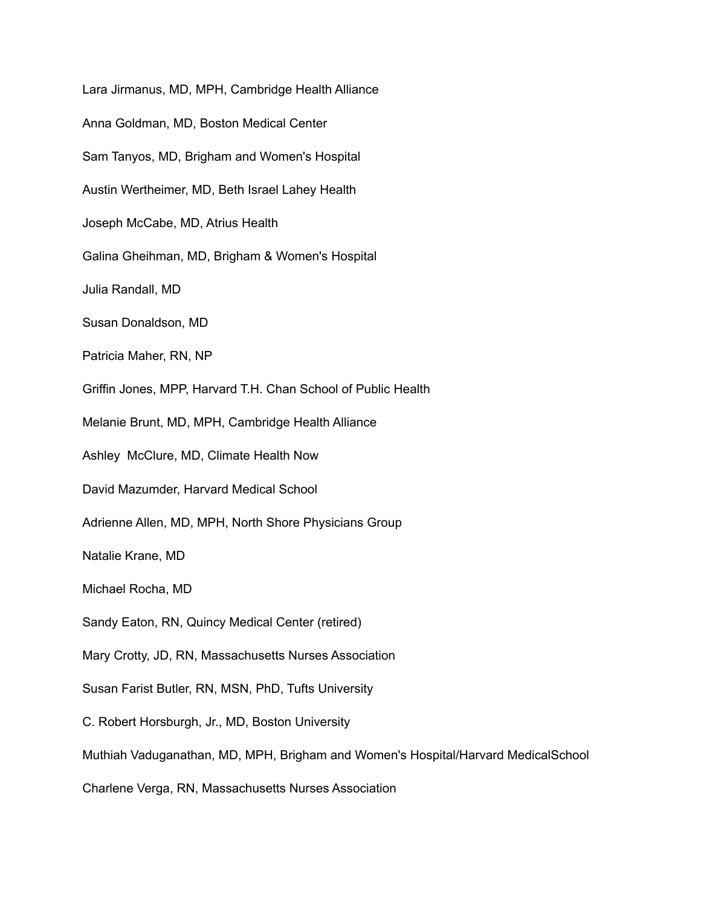Lara Jirmanus, MD, MPH, Cambridge Health Alliance Anna Goldman, MD, Boston Medical Center Sam Tanyos, MD, Brigham and Women's Hospital Austin Wertheimer, MD, Beth Israel Lahey Health Joseph McCabe, MD, Atrius Health Galina Gheihman, MD, Brigham & Women's Hospital Julia Randall, MD Susan Donaldson, MD Patricia Maher, RN, NP Griffin Jones, MPP, Harvard T.H. Chan School of Public Health Melanie Brunt, MD, MPH, Cambridge Health Alliance Ashley McClure, MD, Climate Health Now David Mazumder, Harvard Medical School Adrienne Allen, MD, MPH, North Shore Physicians Group Natalie Krane, MD Michael Rocha, MD Sandy Eaton, RN, Quincy Medical Center (retired) Mary Crotty, JD, RN, Massachusetts Nurses Association Susan Farist Butler, RN, MSN, PhD, Tufts University C. Robert Horsburgh, Jr., MD, Boston University Muthiah Vaduganathan, MD, MPH, Brigham and Women's Hospital/Harvard MedicalSchool Charlene Verga, RN, Massachusetts Nurses Association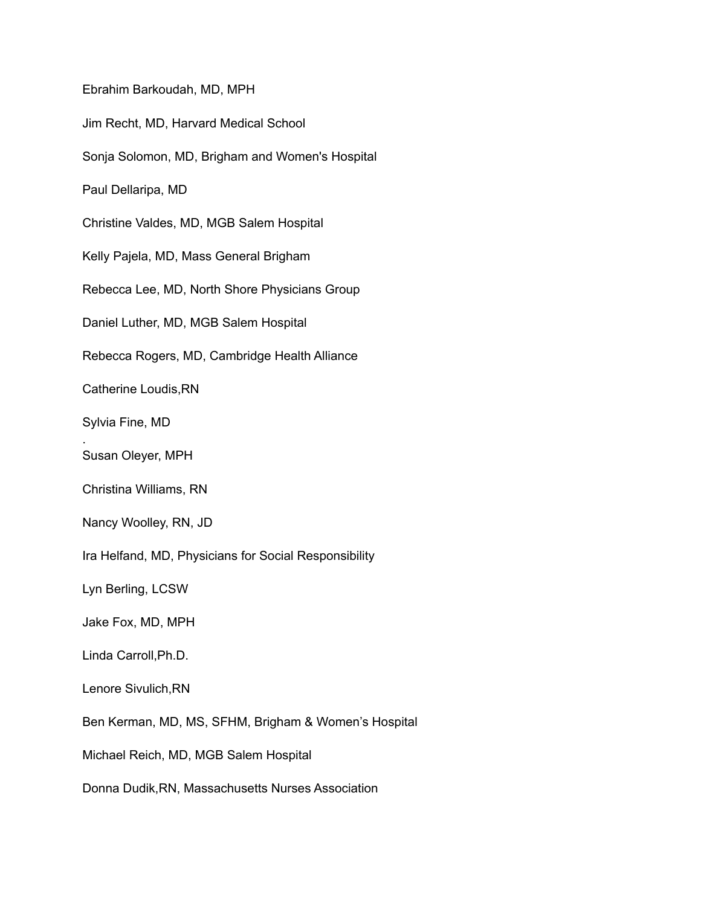Ebrahim Barkoudah, MD, MPH Jim Recht, MD, Harvard Medical School Sonja Solomon, MD, Brigham and Women's Hospital Paul Dellaripa, MD Christine Valdes, MD, MGB Salem Hospital Kelly Pajela, MD, Mass General Brigham Rebecca Lee, MD, North Shore Physicians Group Daniel Luther, MD, MGB Salem Hospital Rebecca Rogers, MD, Cambridge Health Alliance Catherine Loudis,RN Sylvia Fine, MD . Susan Oleyer, MPH Christina Williams, RN Nancy Woolley, RN, JD Ira Helfand, MD, Physicians for Social Responsibility Lyn Berling, LCSW Jake Fox, MD, MPH Linda Carroll,Ph.D. Lenore Sivulich,RN Ben Kerman, MD, MS, SFHM, Brigham & Women's Hospital Michael Reich, MD, MGB Salem Hospital Donna Dudik,RN, Massachusetts Nurses Association